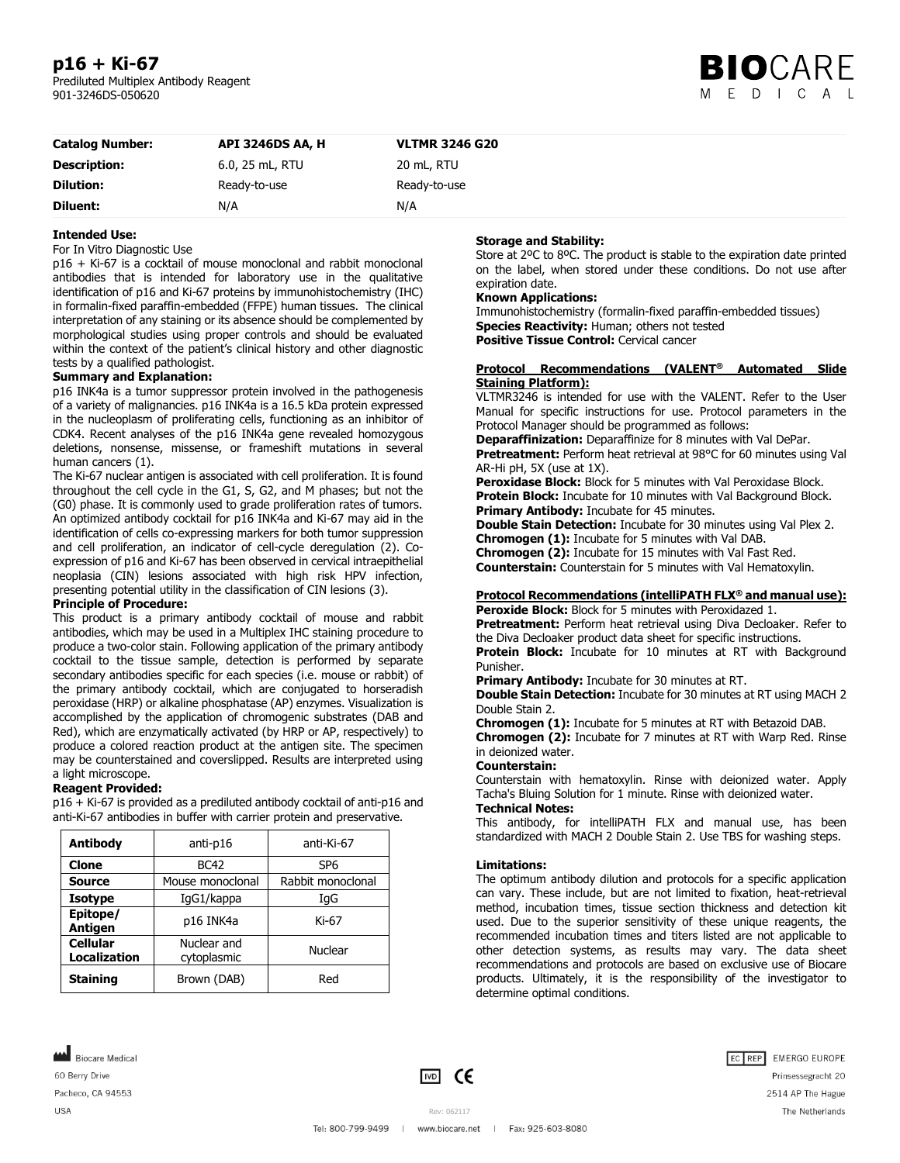**p16 + Ki-67**

Prediluted Multiplex Antibody Reagent 901-3246DS-050620



| <b>Catalog Number:</b> | <b>API 3246DS AA, H</b> | <b>VLTMR 3246 G20</b> |
|------------------------|-------------------------|-----------------------|
| <b>Description:</b>    | 6.0, 25 mL, RTU         | 20 mL, RTU            |
| <b>Dilution:</b>       | Ready-to-use            | Ready-to-use          |
| Diluent:               | N/A                     | N/A                   |

# **Intended Use:**

For In Vitro Diagnostic Use

p16 + Ki-67 is a cocktail of mouse monoclonal and rabbit monoclonal antibodies that is intended for laboratory use in the qualitative identification of p16 and Ki-67 proteins by immunohistochemistry (IHC) in formalin-fixed paraffin-embedded (FFPE) human tissues. The clinical interpretation of any staining or its absence should be complemented by morphological studies using proper controls and should be evaluated within the context of the patient's clinical history and other diagnostic tests by a qualified pathologist.

#### **Summary and Explanation:**

p16 INK4a is a tumor suppressor protein involved in the pathogenesis of a variety of malignancies. p16 INK4a is a 16.5 kDa protein expressed in the nucleoplasm of proliferating cells, functioning as an inhibitor of CDK4. Recent analyses of the p16 INK4a gene revealed homozygous deletions, nonsense, missense, or frameshift mutations in several human cancers (1).

The Ki-67 nuclear antigen is associated with cell proliferation. It is found throughout the cell cycle in the G1, S, G2, and M phases; but not the (G0) phase. It is commonly used to grade proliferation rates of tumors. An optimized antibody cocktail for p16 INK4a and Ki-67 may aid in the identification of cells co-expressing markers for both tumor suppression and cell proliferation, an indicator of cell-cycle deregulation (2). Coexpression of p16 and Ki-67 has been observed in cervical intraepithelial neoplasia (CIN) lesions associated with high risk HPV infection, presenting potential utility in the classification of CIN lesions (3).

#### **Principle of Procedure:**

This product is a primary antibody cocktail of mouse and rabbit antibodies, which may be used in a Multiplex IHC staining procedure to produce a two-color stain. Following application of the primary antibody cocktail to the tissue sample, detection is performed by separate secondary antibodies specific for each species (i.e. mouse or rabbit) of the primary antibody cocktail, which are conjugated to horseradish peroxidase (HRP) or alkaline phosphatase (AP) enzymes. Visualization is accomplished by the application of chromogenic substrates (DAB and Red), which are enzymatically activated (by HRP or AP, respectively) to produce a colored reaction product at the antigen site. The specimen may be counterstained and coverslipped. Results are interpreted using a light microscope.

# **Reagent Provided:**

p16 + Ki-67 is provided as a prediluted antibody cocktail of anti-p16 and anti-Ki-67 antibodies in buffer with carrier protein and preservative.

| <b>Antibody</b>                        | anti-p16                   | anti-Ki-67        |
|----------------------------------------|----------------------------|-------------------|
| <b>Clone</b>                           | <b>BC42</b>                | SP <sub>6</sub>   |
| <b>Source</b>                          | Mouse monoclonal           | Rabbit monoclonal |
| <b>Isotype</b>                         | IgG1/kappa                 | IqG               |
| Epitope/<br><b>Antigen</b>             | p16 INK4a                  | Ki-67             |
| <b>Cellular</b><br><b>Localization</b> | Nuclear and<br>cytoplasmic | Nuclear           |
| <b>Staining</b>                        | Brown (DAB)                | Red               |

#### **Storage and Stability:**

Store at 2ºC to 8ºC. The product is stable to the expiration date printed on the label, when stored under these conditions. Do not use after expiration date.

#### **Known Applications:**

Immunohistochemistry (formalin-fixed paraffin-embedded tissues) **Species Reactivity:** Human; others not tested **Positive Tissue Control:** Cervical cancer

#### **Protocol Recommendations (VALENT® Automated Slide Staining Platform):**

VLTMR3246 is intended for use with the VALENT. Refer to the User Manual for specific instructions for use. Protocol parameters in the Protocol Manager should be programmed as follows:

**Deparaffinization:** Deparaffinize for 8 minutes with Val DePar.

**Pretreatment:** Perform heat retrieval at 98°C for 60 minutes using Val AR-Hi pH, 5X (use at 1X).

**Peroxidase Block:** Block for 5 minutes with Val Peroxidase Block. **Protein Block:** Incubate for 10 minutes with Val Background Block. **Primary Antibody:** Incubate for 45 minutes.

**Double Stain Detection:** Incubate for 30 minutes using Val Plex 2. **Chromogen (1):** Incubate for 5 minutes with Val DAB.

**Chromogen (2):** Incubate for 15 minutes with Val Fast Red.

**Counterstain:** Counterstain for 5 minutes with Val Hematoxylin.

# **Protocol Recommendations (intelliPATH FLX® and manual use):**

**Peroxide Block:** Block for 5 minutes with Peroxidazed 1. **Pretreatment:** Perform heat retrieval using Diva Decloaker. Refer to the Diva Decloaker product data sheet for specific instructions.

**Protein Block:** Incubate for 10 minutes at RT with Background Punisher.

**Primary Antibody:** Incubate for 30 minutes at RT.

**Double Stain Detection:** Incubate for 30 minutes at RT using MACH 2 Double Stain 2.

**Chromogen (1):** Incubate for 5 minutes at RT with Betazoid DAB.

**Chromogen (2):** Incubate for 7 minutes at RT with Warp Red. Rinse in deionized water.

# **Counterstain:**

Counterstain with hematoxylin. Rinse with deionized water. Apply Tacha's Bluing Solution for 1 minute. Rinse with deionized water. **Technical Notes:**

This antibody, for intelliPATH FLX and manual use, has been standardized with MACH 2 Double Stain 2. Use TBS for washing steps.

#### **Limitations:**

The optimum antibody dilution and protocols for a specific application can vary. These include, but are not limited to fixation, heat-retrieval method, incubation times, tissue section thickness and detection kit used. Due to the superior sensitivity of these unique reagents, the recommended incubation times and titers listed are not applicable to other detection systems, as results may vary. The data sheet recommendations and protocols are based on exclusive use of Biocare products. Ultimately, it is the responsibility of the investigator to determine optimal conditions.



Prinsessegracht 20 2514 AP The Hague The Netherlands